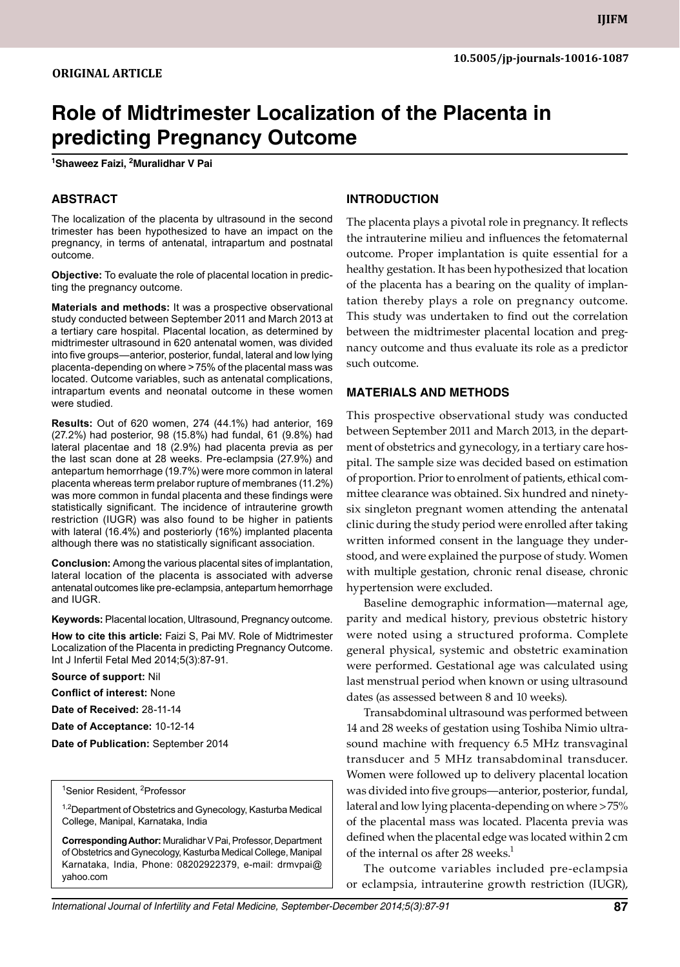# **Role of Midtrimester Localization of the Placenta in predicting Pregnancy Outcome**

**1 Shaweez Faizi, 2 Muralidhar V Pai** 

## **ABSTRACT**

The localization of the placenta by ultrasound in the second trimester has been hypothesized to have an impact on the pregnancy, in terms of antenatal, intrapartum and postnatal outcome.

**Objective:** To evaluate the role of placental location in predicting the pregnancy outcome.

**Materials and methods:** It was a prospective observational study conducted between September 2011 and March 2013 at a tertiary care hospital. Placental location, as determined by midtrimester ultrasound in 620 antenatal women, was divided into five groups—anterior, posterior, fundal, lateral and low lying placenta-depending on where >75% of the placental mass was located. Outcome variables, such as antenatal complications, intrapartum events and neonatal outcome in these women were studied.

**Results:** Out of 620 women, 274 (44.1%) had anterior, 169 (27.2%) had posterior, 98 (15.8%) had fundal, 61 (9.8%) had lateral placentae and 18 (2.9%) had placenta previa as per the last scan done at 28 weeks. Pre-eclampsia (27.9%) and antepartum hemorrhage (19.7%) were more common in lateral placenta whereas term prelabor rupture of membranes (11.2%) was more common in fundal placenta and these findings were statistically significant. The incidence of intrauterine growth restriction (IUGR) was also found to be higher in patients with lateral (16.4%) and posteriorly (16%) implanted placenta although there was no statistically significant association.

**Conclusion:** Among the various placental sites of implantation, lateral location of the placenta is associated with adverse antenatal outcomes like pre-eclampsia, antepartum hemorrhage and IUGR.

**Keywords:** Placental location, Ultrasound, Pregnancy outcome.

**How to cite this article:** Faizi S, Pai MV. Role of Midtrimester Localization of the Placenta in predicting Pregnancy Outcome. Int J Infertil Fetal Med 2014;5(3):87-91.

**Source of support:** Nil

**Conflict of interest:** None

**Date of Received:** 28-11-14

**Date of Acceptance:** 10-12-14

**Date of Publication:** September 2014

#### <sup>1</sup>Senior Resident, <sup>2</sup>Professor

<sup>1,2</sup>Department of Obstetrics and Gynecology, Kasturba Medical College, Manipal, Karnataka, India

**Corresponding Author: Muralidhar V Pai, Professor, Department** of Obstetrics and Gynecology, Kasturba Medical College, manipal Karnataka, India, Phone: 08202922379, e-mail: drmvpai@ yahoo.com

### **Introduction**

The placenta plays a pivotal role in pregnancy. It reflects the intrauterine milieu and influences the fetomaternal outcome. Proper implantation is quite essential for a healthy gestation. It has been hypothesized that location of the placenta has a bearing on the quality of implantation thereby plays a role on pregnancy outcome. This study was undertaken to find out the correlation between the midtrimester placental location and pregnancy outcome and thus evaluate its role as a predictor such outcome.

#### **materials and methods**

This prospective observational study was conducted between September 2011 and March 2013, in the department of obstetrics and gynecology, in a tertiary care hospital. The sample size was decided based on estimation of proportion. Prior to enrolment of patients, ethical committee clearance was obtained. Six hundred and ninetysix singleton pregnant women attending the antenatal clinic during the study period were enrolled after taking written informed consent in the language they understood, and were explained the purpose of study. Women with multiple gestation, chronic renal disease, chronic hypertension were excluded.

Baseline demographic information—maternal age, parity and medical history, previous obstetric history were noted using a structured proforma. Complete general physical, systemic and obstetric examination were performed. Gestational age was calculated using last menstrual period when known or using ultrasound dates (as assessed between 8 and 10 weeks).

Transabdominal ultrasound was performed between 14 and 28 weeks of gestation using Toshiba Nimio ultrasound machine with frequency 6.5 MHz transvaginal transducer and 5 MHz transabdominal transducer. Women were followed up to delivery placental location was divided into five groups—anterior, posterior, fundal, lateral and low lying placenta-depending on where >75% of the placental mass was located. Placenta previa was defined when the placental edge was located within 2 cm of the internal os after 28 weeks.<sup>1</sup>

The outcome variables included pre-eclampsia or eclampsia, intrauterine growth restriction (IUGR),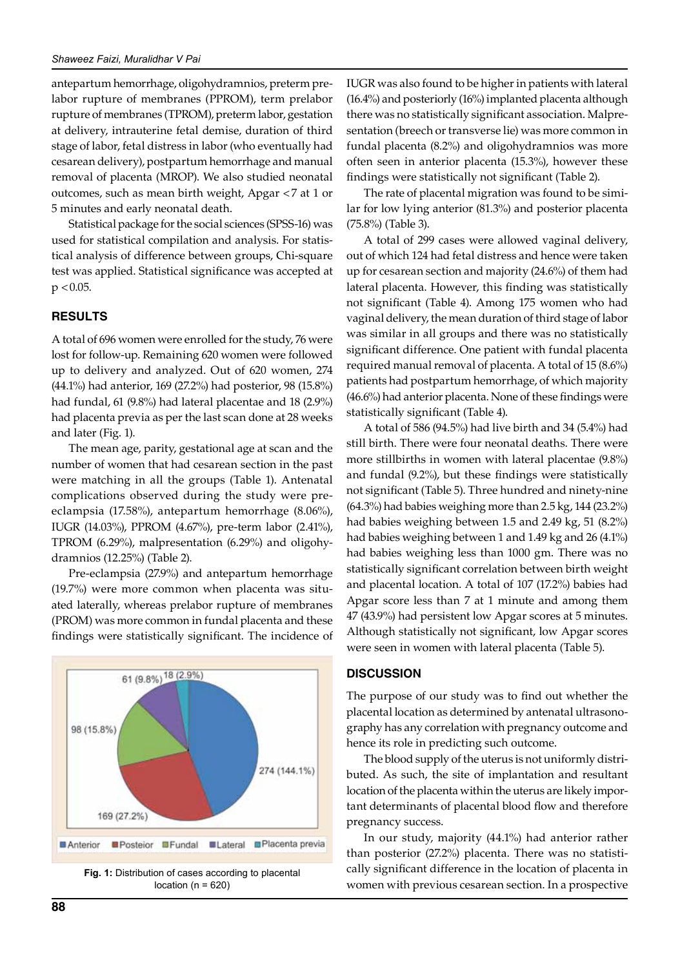antepartum hemorrhage, oligohydramnios, preterm prelabor rupture of membranes (PPROM), term prelabor rupture of membranes (TPROM), preterm labor, gestation at delivery, intrauterine fetal demise, duration of third stage of labor, fetal distress in labor (who eventually had cesarean delivery), postpartum hemorrhage and manual removal of placenta (MROP). We also studied neonatal outcomes, such as mean birth weight, Apgar <7 at 1 or 5 minutes and early neonatal death.

Statistical package for the social sciences (SPSS-16) was used for statistical compilation and analysis. For statistical analysis of difference between groups, Chi-square test was applied. Statistical significance was accepted at  $p < 0.05$ .

#### **Results**

A total of 696 women were enrolled for the study, 76 were lost for follow-up. Remaining 620 women were followed up to delivery and analyzed. Out of 620 women, 274 (44.1%) had anterior, 169 (27.2%) had posterior, 98 (15.8%) had fundal, 61 (9.8%) had lateral placentae and 18 (2.9%) had placenta previa as per the last scan done at 28 weeks and later (Fig. 1).

The mean age, parity, gestational age at scan and the number of women that had cesarean section in the past were matching in all the groups (Table 1). Antenatal complications observed during the study were preeclampsia (17.58%), antepartum hemorrhage (8.06%), IUGR (14.03%), PPROM (4.67%), pre-term labor (2.41%), TPROM (6.29%), malpresentation (6.29%) and oligohydramnios (12.25%) (Table 2).

Pre-eclampsia (27.9%) and antepartum hemorrhage (19.7%) were more common when placenta was situated laterally, whereas prelabor rupture of membranes (PROM) was more common in fundal placenta and these findings were statistically significant. The incidence of



location ( $n = 620$ )

IUGR was also found to be higher in patients with lateral (16.4%) and posteriorly (16%) implanted placenta although there was no statistically significant association. Malpresentation (breech or transverse lie) was more common in fundal placenta (8.2%) and oligohydramnios was more often seen in anterior placenta (15.3%), however these findings were statistically not significant (Table 2).

The rate of placental migration was found to be similar for low lying anterior (81.3%) and posterior placenta (75.8%) (Table 3).

A total of 299 cases were allowed vaginal delivery, out of which 124 had fetal distress and hence were taken up for cesarean section and majority (24.6%) of them had lateral placenta. However, this finding was statistically not significant (Table 4). Among 175 women who had vaginal delivery, the mean duration of third stage of labor was similar in all groups and there was no statistically significant difference. One patient with fundal placenta required manual removal of placenta. A total of 15 (8.6%) patients had postpartum hemorrhage, of which majority (46.6%) had anterior placenta. None of these findings were statistically significant (Table 4).

A total of 586 (94.5%) had live birth and 34 (5.4%) had still birth. There were four neonatal deaths. There were more stillbirths in women with lateral placentae (9.8%) and fundal (9.2%), but these findings were statistically not significant (Table 5). Three hundred and ninety-nine (64.3%) had babies weighing more than 2.5 kg, 144 (23.2%) had babies weighing between 1.5 and 2.49 kg, 51 (8.2%) had babies weighing between 1 and 1.49 kg and 26 (4.1%) had babies weighing less than 1000 gm. There was no statistically significant correlation between birth weight and placental location. A total of 107 (17.2%) babies had Apgar score less than 7 at 1 minute and among them 47 (43.9%) had persistent low Apgar scores at 5 minutes. Although statistically not significant, low Apgar scores were seen in women with lateral placenta (Table 5).

#### **DISCUSSION**

The purpose of our study was to find out whether the placental location as determined by antenatal ultrasonography has any correlation with pregnancy outcome and hence its role in predicting such outcome.

The blood supply of the uterus is not uniformly distributed. As such, the site of implantation and resultant location of the placenta within the uterus are likely important determinants of placental blood flow and therefore pregnancy success.

In our study, majority (44.1%) had anterior rather than posterior (27.2%) placenta. There was no statistically significant difference in the location of placenta in women with previous cesarean section. In a prospective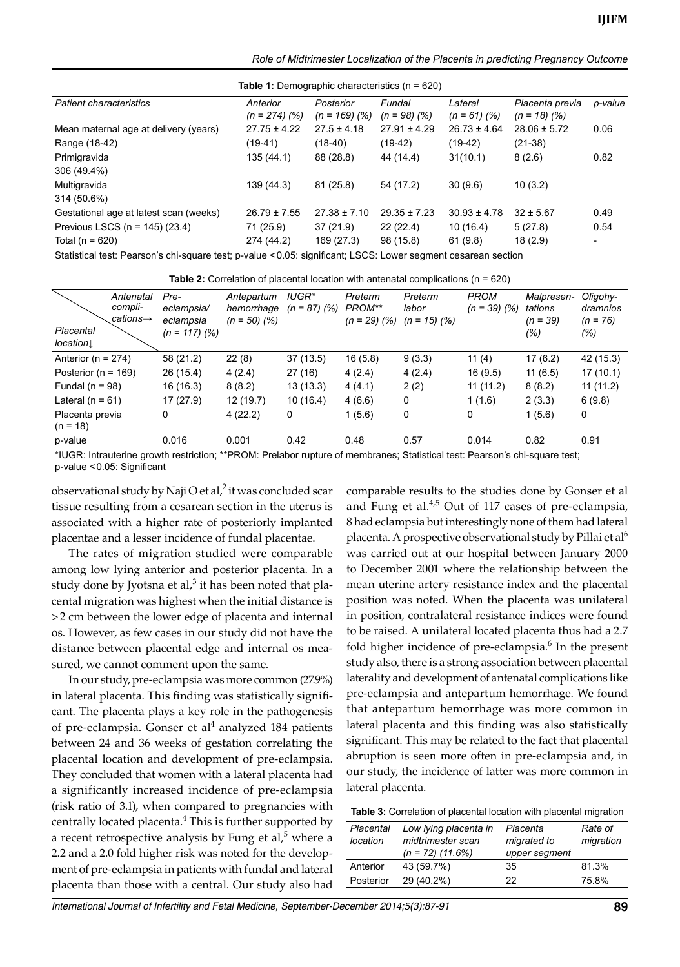*Role of Midtrimester Localization of the Placenta in predicting Pregnancy Outcome*

**Table 1:** Demographic characteristics (n = 620)

| <b>Patient characteristics</b>         | Anterior<br>$(n = 274)$ (%) | Posterior<br>$(n = 169)$ (%) | Fundal<br>$(n = 98)$ (%) | Lateral<br>$(n = 61)$ (%) | Placenta previa<br>$(n = 18)$ (%) | p-value                  |  |  |  |
|----------------------------------------|-----------------------------|------------------------------|--------------------------|---------------------------|-----------------------------------|--------------------------|--|--|--|
| Mean maternal age at delivery (years)  | $27.75 \pm 4.22$            | $27.5 \pm 4.18$              | $27.91 \pm 4.29$         | $26.73 \pm 4.64$          | $28.06 \pm 5.72$                  | 0.06                     |  |  |  |
| Range (18-42)                          | (19-41)                     | (18-40)                      | $(19-42)$                | $(19-42)$                 | $(21-38)$                         |                          |  |  |  |
| Primigravida                           | 135(44.1)                   | 88 (28.8)                    | 44 (14.4)                | 31(10.1)                  | 8(2.6)                            | 0.82                     |  |  |  |
| 306 (49.4%)                            |                             |                              |                          |                           |                                   |                          |  |  |  |
| Multigravida                           | 139 (44.3)                  | 81 (25.8)                    | 54 (17.2)                | 30(9.6)                   | 10(3.2)                           |                          |  |  |  |
| 314 (50.6%)                            |                             |                              |                          |                           |                                   |                          |  |  |  |
| Gestational age at latest scan (weeks) | $26.79 \pm 7.55$            | $27.38 \pm 7.10$             | $29.35 \pm 7.23$         | $30.93 \pm 4.78$          | $32 \pm 5.67$                     | 0.49                     |  |  |  |
| Previous LSCS ( $n = 145$ ) (23.4)     | 71 (25.9)                   | 37(21.9)                     | 22(22.4)                 | 10(16.4)                  | 5(27.8)                           | 0.54                     |  |  |  |
| Total ( $n = 620$ )                    | 274 (44.2)                  | 169 (27.3)                   | 98 (15.8)                | 61(9.8)                   | 18(2.9)                           | $\overline{\phantom{a}}$ |  |  |  |
|                                        |                             |                              |                          |                           |                                   |                          |  |  |  |

Statistical test: Pearson's chi-square test; p-value <0.05: significant; LSCS: Lower segment cesarean section

| <b>Table 2:</b> Correlation of placental location with antenatal complications ( $n = 620$ ) |  |  |  |  |  |
|----------------------------------------------------------------------------------------------|--|--|--|--|--|
|----------------------------------------------------------------------------------------------|--|--|--|--|--|

| Placental<br>location         | Antenatal<br>compli-<br>$cations-$ | Pre-<br>eclampsia/<br>eclampsia<br>$(n = 117)$ (%) | Antepartum<br>hemorrhage<br>$(n = 50)$ (%) | IUGR*<br>$(n = 87)$ (%) | Preterm<br>PROM**<br>$(n = 29)$ (%) | Preterm<br>labor<br>$(n = 15)$ (%) | <b>PROM</b><br>$(n = 39)$ (%) | Malpresen-<br>tations<br>(n = 39)<br>(%) | Oligohy-<br>dramnios<br>$(n = 76)$<br>(%) |
|-------------------------------|------------------------------------|----------------------------------------------------|--------------------------------------------|-------------------------|-------------------------------------|------------------------------------|-------------------------------|------------------------------------------|-------------------------------------------|
| Anterior ( $n = 274$ )        |                                    | 58 (21.2)                                          | 22(8)                                      | 37(13.5)                | 16(5.8)                             | 9(3.3)                             | 11 $(4)$                      | 17 (6.2)                                 | 42 (15.3)                                 |
| Posterior ( $n = 169$ )       |                                    | 26 (15.4)                                          | 4(2.4)                                     | 27(16)                  | 4(2.4)                              | 4(2.4)                             | 16(9.5)                       | 11(6.5)                                  | 17(10.1)                                  |
| Fundal ( $n = 98$ )           |                                    | 16 (16.3)                                          | 8(8.2)                                     | 13(13.3)                | 4(4.1)                              | 2(2)                               | 11(11.2)                      | 8(8.2)                                   | 11(11.2)                                  |
| Lateral $(n = 61)$            |                                    | 17 (27.9)                                          | 12(19.7)                                   | 10 (16.4)               | 4(6.6)                              | 0                                  | 1(1.6)                        | 2(3.3)                                   | 6(9.8)                                    |
| Placenta previa<br>$(n = 18)$ |                                    | 0                                                  | 4(22.2)                                    | 0                       | 1(5.6)                              | 0                                  | 0                             | 1(5.6)                                   | 0                                         |
| p-value                       |                                    | 0.016                                              | 0.001                                      | 0.42                    | 0.48                                | 0.57                               | 0.014                         | 0.82                                     | 0.91                                      |
|                               |                                    |                                                    |                                            |                         |                                     |                                    |                               |                                          |                                           |

\*IUGR: Intrauterine growth restriction; \*\*PROM: prelabor rupture of membranes; statistical test: Pearson's chi-square test; p-value < 0.05: Significant

observational study by Naji O et al, $^2$  it was concluded scar tissue resulting from a cesarean section in the uterus is associated with a higher rate of posteriorly implanted placentae and a lesser incidence of fundal placentae.

The rates of migration studied were comparable among low lying anterior and posterior placenta. In a study done by Jyotsna et al, $3$  it has been noted that placental migration was highest when the initial distance is >2 cm between the lower edge of placenta and internal os. However, as few cases in our study did not have the distance between placental edge and internal os measured, we cannot comment upon the same.

In our study, pre-eclampsia was more common (27.9%) in lateral placenta. This finding was statistically significant. The placenta plays a key role in the pathogenesis of pre-eclampsia. Gonser et al<sup>4</sup> analyzed 184 patients between 24 and 36 weeks of gestation correlating the placental location and development of pre-eclampsia. They concluded that women with a lateral placenta had a significantly increased incidence of pre-eclampsia (risk ratio of 3.1), when compared to pregnancies with centrally located placenta.<sup>4</sup> This is further supported by a recent retrospective analysis by Fung et al, $5$  where a 2.2 and a 2.0 fold higher risk was noted for the development of pre-eclampsia in patients with fundal and lateral placenta than those with a central. Our study also had

comparable results to the studies done by Gonser et al and Fung et al. $4.5$  Out of 117 cases of pre-eclampsia, 8 had eclampsia but interestingly none of them had lateral placenta. A prospective observational study by Pillai et al<sup>6</sup> was carried out at our hospital between January 2000 to December 2001 where the relationship between the mean uterine artery resistance index and the placental position was noted. When the placenta was unilateral in position, contralateral resistance indices were found to be raised. A unilateral located placenta thus had a 2.7 fold higher incidence of pre-eclampsia.<sup>6</sup> In the present study also, there is a strong association between placental laterality and development of antenatal complications like pre-eclampsia and antepartum hemorrhage. We found that antepartum hemorrhage was more common in lateral placenta and this finding was also statistically significant. This may be related to the fact that placental abruption is seen more often in pre-eclampsia and, in our study, the incidence of latter was more common in lateral placenta.

| <b>Table 3:</b> Correlation of placental location with placental migration |  |  |  |
|----------------------------------------------------------------------------|--|--|--|
|----------------------------------------------------------------------------|--|--|--|

| Placental<br>location | Low lying placenta in<br>midtrimester scan<br>$(n = 72)$ (11.6%) | Placenta<br>migrated to<br>upper segment | Rate of<br>migration |
|-----------------------|------------------------------------------------------------------|------------------------------------------|----------------------|
| Anterior              | 43 (59.7%)                                                       | 35                                       | 81.3%                |
| Posterior             | 29 (40.2%)                                                       | 22                                       | 75.8%                |
|                       |                                                                  |                                          |                      |

*International Journal of Infertility and Fetal Medicine, September-December 2014;5(3):87-91* **89**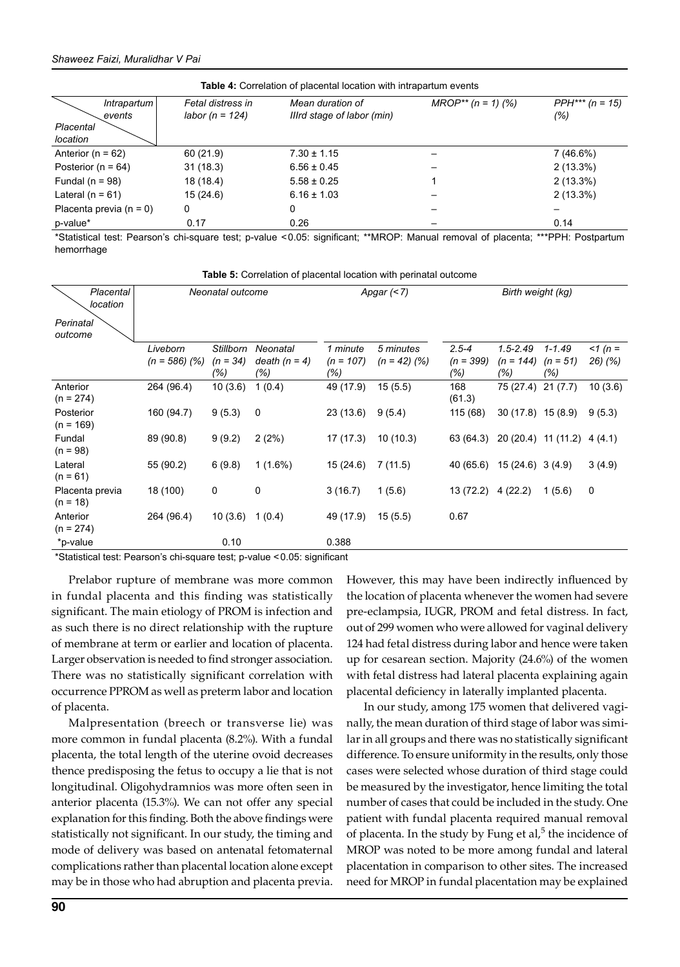| <b>Table 4:</b> Correlation of placental location with intrapartum events |                                      |                                                |                         |                          |  |  |  |  |
|---------------------------------------------------------------------------|--------------------------------------|------------------------------------------------|-------------------------|--------------------------|--|--|--|--|
| Intrapartum<br>events                                                     | Fetal distress in<br>labor (n = 124) | Mean duration of<br>Illrd stage of labor (min) | $MROP^{**}$ (n = 1) (%) | $PPH*** (n = 15)$<br>(%) |  |  |  |  |
| Placental<br>location                                                     |                                      |                                                |                         |                          |  |  |  |  |
| Anterior ( $n = 62$ )                                                     | 60(21.9)                             | $7.30 \pm 1.15$                                |                         | 7 (46.6%)                |  |  |  |  |
| Posterior ( $n = 64$ )                                                    | 31(18.3)                             | $6.56 \pm 0.45$                                |                         | $2(13.3\%)$              |  |  |  |  |
| Fundal ( $n = 98$ )                                                       | 18 (18.4)                            | $5.58 \pm 0.25$                                |                         | $2(13.3\%)$              |  |  |  |  |
| Lateral ( $n = 61$ )                                                      | 15(24.6)                             | $6.16 \pm 1.03$                                |                         | $2(13.3\%)$              |  |  |  |  |
| Placenta previa $(n = 0)$                                                 | 0                                    | 0                                              |                         |                          |  |  |  |  |
| p-value*                                                                  | 0.17                                 | 0.26                                           |                         | 0.14                     |  |  |  |  |

\*Statistical test: Pearson's chi-square test; p-value <0.05: significant; \*\*MROP: manual removal of placenta; \*\*\*PPH: Postpartum hemorrhage

**Table 5:** Correlation of placental location with perinatal outcome

| Placental<br>location         | Neonatal outcome            |                                       | Apgar $($                          |                                | Birth weight (kg)           |                                 |                                    |                                 |                    |
|-------------------------------|-----------------------------|---------------------------------------|------------------------------------|--------------------------------|-----------------------------|---------------------------------|------------------------------------|---------------------------------|--------------------|
| Perinatal<br>outcome          |                             |                                       |                                    |                                |                             |                                 |                                    |                                 |                    |
|                               | Liveborn<br>$(n = 586)$ (%) | <b>Stillborn</b><br>$(n = 34)$<br>(%) | Neonatal<br>death $(n = 4)$<br>(%) | 1 minute<br>$(n = 107)$<br>(%) | 5 minutes<br>$(n = 42)$ (%) | $2.5 - 4$<br>$(n = 399)$<br>(%) | $1.5 - 2.49$<br>$(n = 144)$<br>(%) | $1 - 1.49$<br>$(n = 51)$<br>(%) | $1(n =$<br>26) (%) |
| Anterior<br>$(n = 274)$       | 264 (96.4)                  | 10(3.6)                               | 1(0.4)                             | 49 (17.9)                      | 15(5.5)                     | 168<br>(61.3)                   | 75 (27.4)                          | 21(7.7)                         | 10(3.6)            |
| Posterior<br>$(n = 169)$      | 160 (94.7)                  | 9(5.3)                                | 0                                  | 23(13.6)                       | 9(5.4)                      | 115 (68)                        | $30(17.8)$ 15 (8.9)                |                                 | 9(5.3)             |
| Fundal<br>$(n = 98)$          | 89 (90.8)                   | 9(9.2)                                | 2(2%)                              | 17 (17.3)                      | 10(10.3)                    | 63 (64.3)                       | 20 (20.4) 11 (11.2)                |                                 | 4(4.1)             |
| Lateral<br>$(n = 61)$         | 55 (90.2)                   | 6(9.8)                                | $1(1.6\%)$                         | 15(24.6)                       | 7(11.5)                     | 40 (65.6)                       | $15(24.6)$ 3 (4.9)                 |                                 | 3(4.9)             |
| Placenta previa<br>$(n = 18)$ | 18 (100)                    | 0                                     | 0                                  | 3(16.7)                        | 1(5.6)                      | 13 (72.2)                       | 4(22.2)                            | 1(5.6)                          | 0                  |
| Anterior<br>$(n = 274)$       | 264 (96.4)                  | 10(3.6)                               | 1(0.4)                             | 49 (17.9)                      | 15(5.5)                     | 0.67                            |                                    |                                 |                    |
| *p-value                      |                             | 0.10                                  |                                    | 0.388                          |                             |                                 |                                    |                                 |                    |

\*Statistical test: Pearson's chi-square test; p-value <0.05: significant

Prelabor rupture of membrane was more common in fundal placenta and this finding was statistically significant. The main etiology of PROM is infection and as such there is no direct relationship with the rupture of membrane at term or earlier and location of placenta. Larger observation is needed to find stronger association. There was no statistically significant correlation with occurrence PPROM as well as preterm labor and location of placenta.

Malpresentation (breech or transverse lie) was more common in fundal placenta (8.2%). With a fundal placenta, the total length of the uterine ovoid decreases thence predisposing the fetus to occupy a lie that is not longitudinal. Oligohydramnios was more often seen in anterior placenta (15.3%). We can not offer any special explanation for this finding. Both the above findings were statistically not significant. In our study, the timing and mode of delivery was based on antenatal fetomaternal complications rather than placental location alone except may be in those who had abruption and placenta previa.

However, this may have been indirectly influenced by the location of placenta whenever the women had severe pre-eclampsia, IUGR, PROM and fetal distress. In fact, out of 299 women who were allowed for vaginal delivery 124 had fetal distress during labor and hence were taken up for cesarean section. Majority (24.6%) of the women with fetal distress had lateral placenta explaining again placental deficiency in laterally implanted placenta.

In our study, among 175 women that delivered vaginally, the mean duration of third stage of labor was similar in all groups and there was no statistically significant difference. To ensure uniformity in the results, only those cases were selected whose duration of third stage could be measured by the investigator, hence limiting the total number of cases that could be included in the study. One patient with fundal placenta required manual removal of placenta. In the study by Fung et al, $5$  the incidence of MROP was noted to be more among fundal and lateral placentation in comparison to other sites. The increased need for MROP in fundal placentation may be explained